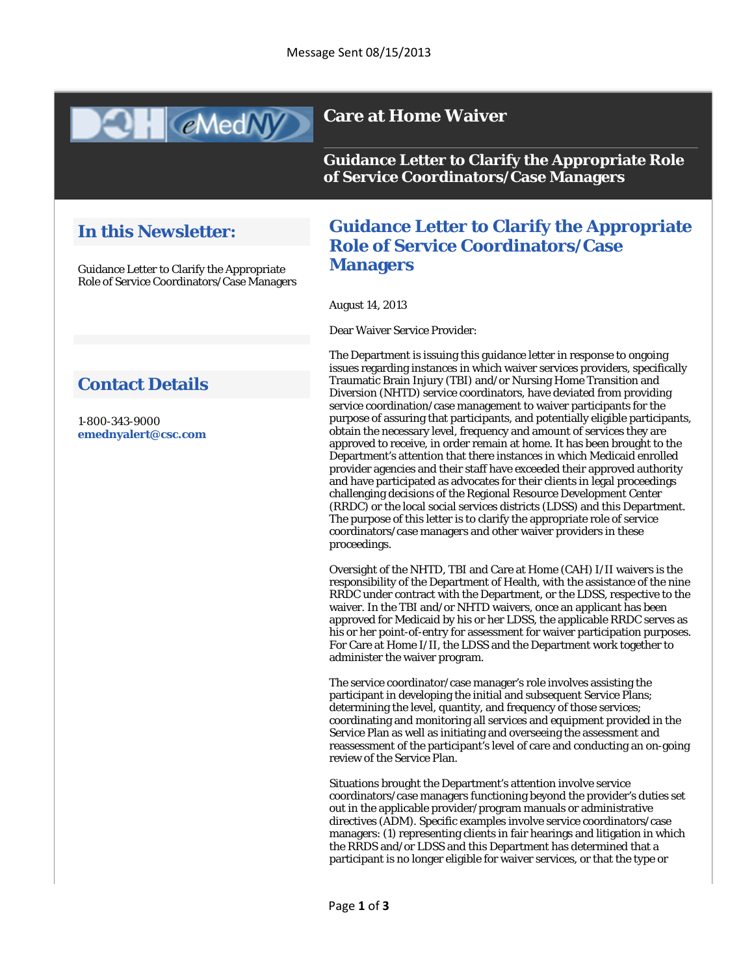

## **Care at Home Waiver**

**Guidance Letter to Clarify the Appropriate Role of Service Coordinators/Case Managers**

## **In this Newsletter:**

Guidance Letter to Clarify the Appropriate Role of Service Coordinators/Case Managers

# **Contact Details**

1-800-343-9000 **[emednyalert@csc.com](mailto:emednyalert@csc.com)**

### **Guidance Letter to Clarify the Appropriate Role of Service Coordinators/Case Managers**

August 14, 2013

Dear Waiver Service Provider:

The Department is issuing this guidance letter in response to ongoing issues regarding instances in which waiver services providers, specifically Traumatic Brain Injury (TBI) and/or Nursing Home Transition and Diversion (NHTD) service coordinators, have deviated from providing service coordination/case management to waiver participants for the purpose of assuring that participants, and potentially eligible participants, obtain the necessary level, frequency and amount of services they are approved to receive, in order remain at home. It has been brought to the Department's attention that there instances in which Medicaid enrolled provider agencies and their staff have exceeded their approved authority and have participated as advocates for their clients in legal proceedings challenging decisions of the Regional Resource Development Center (RRDC) or the local social services districts (LDSS) and this Department. The purpose of this letter is to clarify the appropriate role of service coordinators/case managers and other waiver providers in these proceedings.

Oversight of the NHTD, TBI and Care at Home (CAH) I/II waivers is the responsibility of the Department of Health, with the assistance of the nine RRDC under contract with the Department, or the LDSS, respective to the waiver. In the TBI and/or NHTD waivers, once an applicant has been approved for Medicaid by his or her LDSS, the applicable RRDC serves as his or her point-of-entry for assessment for waiver participation purposes. For Care at Home I/II, the LDSS and the Department work together to administer the waiver program.

The service coordinator/case manager's role involves assisting the participant in developing the initial and subsequent Service Plans; determining the level, quantity, and frequency of those services; coordinating and monitoring all services and equipment provided in the Service Plan as well as initiating and overseeing the assessment and reassessment of the participant's level of care and conducting an on-going review of the Service Plan.

Situations brought the Department's attention involve service coordinators/case managers functioning beyond the provider's duties set out in the applicable provider/program manuals or administrative directives (ADM). Specific examples involve service coordinators/case managers: (1) representing clients in fair hearings and litigation in which the RRDS and/or LDSS and this Department has determined that a participant is no longer eligible for waiver services, or that the type or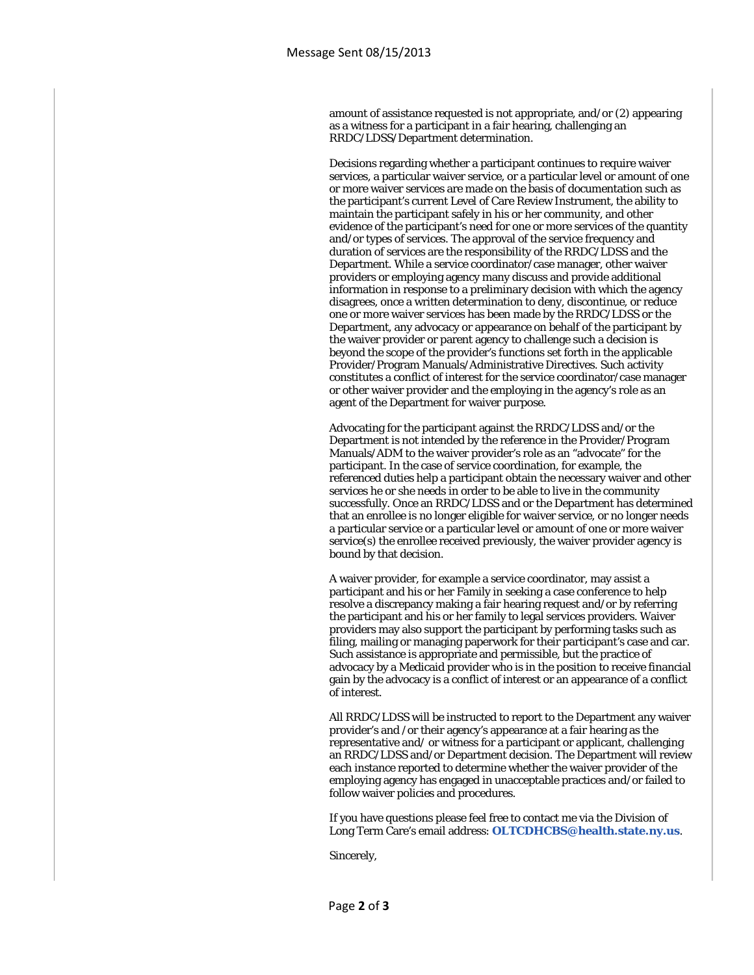amount of assistance requested is not appropriate, and/or (2) appearing as a witness for a participant in a fair hearing, challenging an RRDC/LDSS/Department determination.

Decisions regarding whether a participant continues to require waiver services, a particular waiver service, or a particular level or amount of one or more waiver services are made on the basis of documentation such as the participant's current Level of Care Review Instrument, the ability to maintain the participant safely in his or her community, and other evidence of the participant's need for one or more services of the quantity and/or types of services. The approval of the service frequency and duration of services are the responsibility of the RRDC/LDSS and the Department. While a service coordinator/case manager, other waiver providers or employing agency many discuss and provide additional information in response to a preliminary decision with which the agency disagrees, once a written determination to deny, discontinue, or reduce one or more waiver services has been made by the RRDC/LDSS or the Department, any advocacy or appearance on behalf of the participant by the waiver provider or parent agency to challenge such a decision is beyond the scope of the provider's functions set forth in the applicable Provider/Program Manuals/Administrative Directives. Such activity constitutes a conflict of interest for the service coordinator/case manager or other waiver provider and the employing in the agency's role as an agent of the Department for waiver purpose.

Advocating for the participant against the RRDC/LDSS and/or the Department is not intended by the reference in the Provider/Program Manuals/ADM to the waiver provider's role as an "advocate" for the participant. In the case of service coordination, for example, the referenced duties help a participant obtain the necessary waiver and other services he or she needs in order to be able to live in the community successfully. Once an RRDC/LDSS and or the Department has determined that an enrollee is no longer eligible for waiver service, or no longer needs a particular service or a particular level or amount of one or more waiver service(s) the enrollee received previously, the waiver provider agency is bound by that decision.

A waiver provider, for example a service coordinator, may assist a participant and his or her Family in seeking a case conference to help resolve a discrepancy making a fair hearing request and/or by referring the participant and his or her family to legal services providers. Waiver providers may also support the participant by performing tasks such as filing, mailing or managing paperwork for their participant's case and car. Such assistance is appropriate and permissible, but the practice of advocacy by a Medicaid provider who is in the position to receive financial gain by the advocacy is a conflict of interest or an appearance of a conflict of interest.

All RRDC/LDSS will be instructed to report to the Department any waiver provider's and /or their agency's appearance at a fair hearing as the representative and/ or witness for a participant or applicant, challenging an RRDC/LDSS and/or Department decision. The Department will review each instance reported to determine whether the waiver provider of the employing agency has engaged in unacceptable practices and/or failed to follow waiver policies and procedures.

If you have questions please feel free to contact me via the Division of Long Term Care's email address: **[OLTCDHCBS@health.state.ny.us](mailto:OLTCDHCBS@health.state.ny.us)**.

Sincerely,